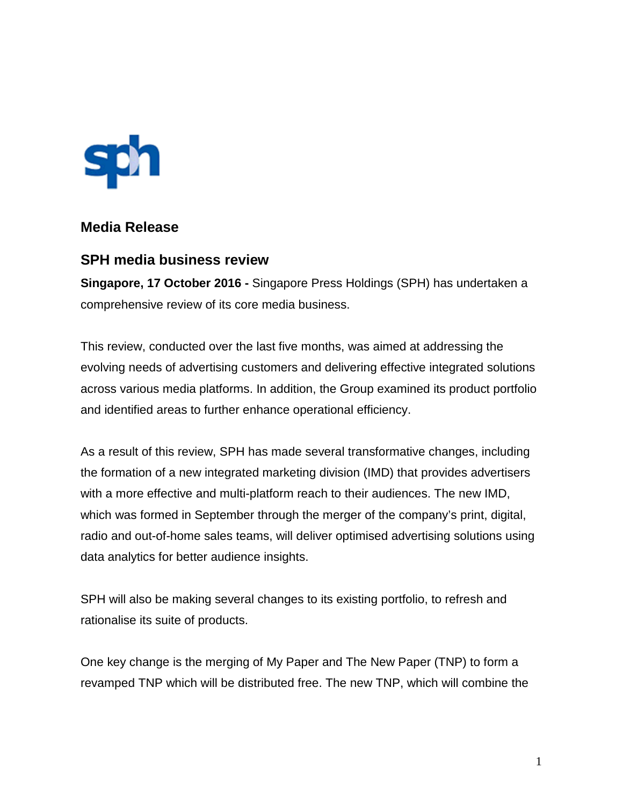

# **Media Release**

## **SPH media business review**

**Singapore, 17 October 2016 -** Singapore Press Holdings (SPH) has undertaken a comprehensive review of its core media business.

This review, conducted over the last five months, was aimed at addressing the evolving needs of advertising customers and delivering effective integrated solutions across various media platforms. In addition, the Group examined its product portfolio and identified areas to further enhance operational efficiency.

As a result of this review, SPH has made several transformative changes, including the formation of a new integrated marketing division (IMD) that provides advertisers with a more effective and multi-platform reach to their audiences. The new IMD, which was formed in September through the merger of the company's print, digital, radio and out-of-home sales teams, will deliver optimised advertising solutions using data analytics for better audience insights.

SPH will also be making several changes to its existing portfolio, to refresh and rationalise its suite of products.

One key change is the merging of My Paper and The New Paper (TNP) to form a revamped TNP which will be distributed free. The new TNP, which will combine the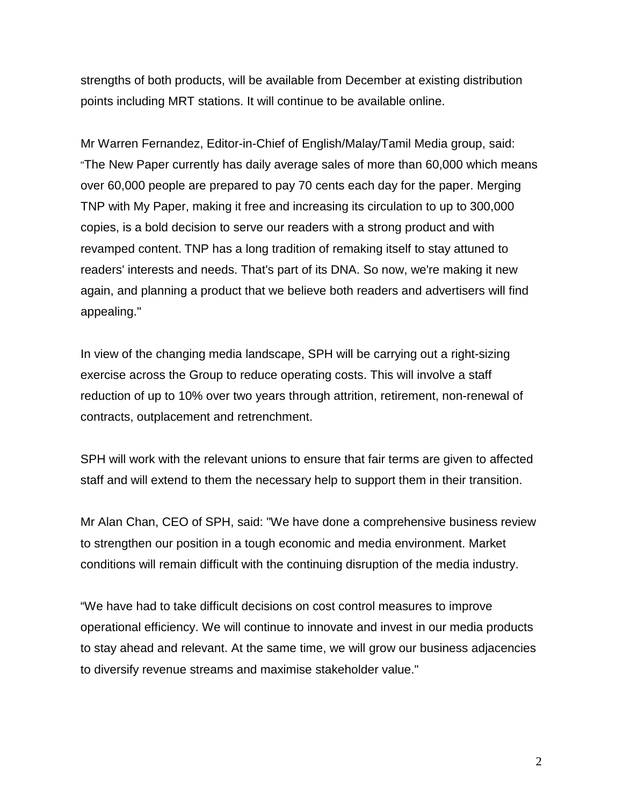strengths of both products, will be available from December at existing distribution points including MRT stations. It will continue to be available online.

Mr Warren Fernandez, Editor-in-Chief of English/Malay/Tamil Media group, said: "The New Paper currently has daily average sales of more than 60,000 which means over 60,000 people are prepared to pay 70 cents each day for the paper. Merging TNP with My Paper, making it free and increasing its circulation to up to 300,000 copies, is a bold decision to serve our readers with a strong product and with revamped content. TNP has a long tradition of remaking itself to stay attuned to readers' interests and needs. That's part of its DNA. So now, we're making it new again, and planning a product that we believe both readers and advertisers will find appealing."

In view of the changing media landscape, SPH will be carrying out a right-sizing exercise across the Group to reduce operating costs. This will involve a staff reduction of up to 10% over two years through attrition, retirement, non-renewal of contracts, outplacement and retrenchment.

SPH will work with the relevant unions to ensure that fair terms are given to affected staff and will extend to them the necessary help to support them in their transition.

Mr Alan Chan, CEO of SPH, said: "We have done a comprehensive business review to strengthen our position in a tough economic and media environment. Market conditions will remain difficult with the continuing disruption of the media industry.

"We have had to take difficult decisions on cost control measures to improve operational efficiency. We will continue to innovate and invest in our media products to stay ahead and relevant. At the same time, we will grow our business adjacencies to diversify revenue streams and maximise stakeholder value."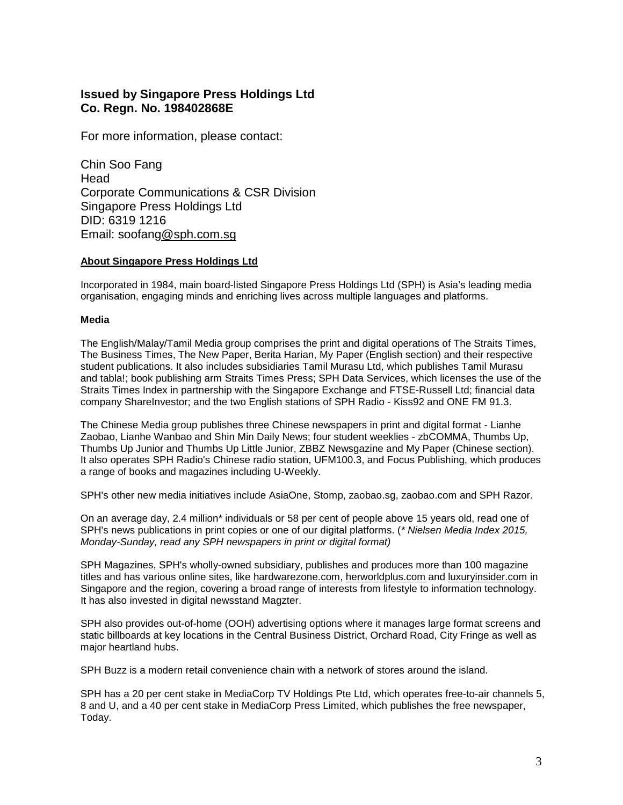### **Issued by Singapore Press Holdings Ltd Co. Regn. No. 198402868E**

For more information, please contact:

Chin Soo Fang Head Corporate Communications & CSR Division Singapore Press Holdings Ltd DID: 6319 1216 Email: soofan[g@sph.com.sg](mailto:yeosc@sph.com.sg)

### **About Singapore Press Holdings Ltd**

Incorporated in 1984, main board-listed Singapore Press Holdings Ltd (SPH) is Asia's leading media organisation, engaging minds and enriching lives across multiple languages and platforms.

#### **Media**

The English/Malay/Tamil Media group comprises the print and digital operations of The Straits Times, The Business Times, The New Paper, Berita Harian, My Paper (English section) and their respective student publications. It also includes subsidiaries Tamil Murasu Ltd, which publishes Tamil Murasu and tabla!; book publishing arm Straits Times Press; SPH Data Services, which licenses the use of the Straits Times Index in partnership with the Singapore Exchange and FTSE-Russell Ltd; financial data company ShareInvestor; and the two English stations of SPH Radio - Kiss92 and ONE FM 91.3.

The Chinese Media group publishes three Chinese newspapers in print and digital format - Lianhe Zaobao, Lianhe Wanbao and Shin Min Daily News; four student weeklies - zbCOMMA, Thumbs Up, Thumbs Up Junior and Thumbs Up Little Junior, ZBBZ Newsgazine and My Paper (Chinese section). It also operates SPH Radio's Chinese radio station, UFM100.3, and Focus Publishing, which produces a range of books and magazines including U-Weekly.

SPH's other new media initiatives include AsiaOne, Stomp, [zaobao.sg,](http://zaobao.sg/) [zaobao.com](http://omy.sg/) and SPH Razor.

On an average day, 2.4 million\* individuals or 58 per cent of people above 15 years old, read one of SPH's news publications in print copies or one of our digital platforms. (*\* Nielsen Media Index 2015, Monday-Sunday, read any SPH newspapers in print or digital format)*

SPH Magazines, SPH's wholly-owned subsidiary, publishes and produces more than 100 magazine titles and has various online sites, like [hardwarezone.com,](http://hardwarezone.com/) [herworldplus.com](http://herworldplus.com/) and [luxuryinsider.com](http://luxuryinsider.com/) in Singapore and the region, covering a broad range of interests from lifestyle to information technology. It has also invested in digital newsstand Magzter.

SPH also provides out-of-home (OOH) advertising options where it manages large format screens and static billboards at key locations in the Central Business District, Orchard Road, City Fringe as well as major heartland hubs.

SPH Buzz is a modern retail convenience chain with a network of stores around the island.

SPH has a 20 per cent stake in MediaCorp TV Holdings Pte Ltd, which operates free-to-air channels 5, 8 and U, and a 40 per cent stake in MediaCorp Press Limited, which publishes the free newspaper, Today.